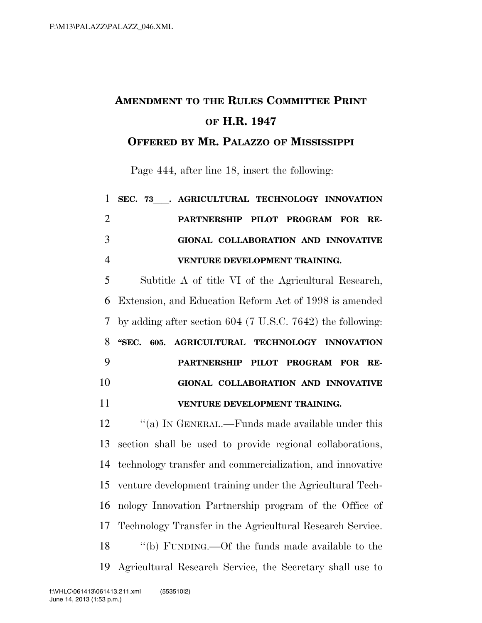## **AMENDMENT TO THE RULES COMMITTEE PRINT OF H.R. 1947**

**OFFERED BY MR. PALAZZO OF MISSISSIPPI**

Page 444, after line 18, insert the following:

| $\mathbf{1}$   | SEC. 73 . AGRICULTURAL TECHNOLOGY INNOVATION                 |
|----------------|--------------------------------------------------------------|
| $\overline{2}$ | PARTNERSHIP PILOT PROGRAM FOR RE-                            |
| 3              | GIONAL COLLABORATION AND INNOVATIVE                          |
| $\overline{4}$ | VENTURE DEVELOPMENT TRAINING.                                |
| 5              | Subtitle A of title VI of the Agricultural Research,         |
| 6              | Extension, and Education Reform Act of 1998 is amended       |
| 7              | by adding after section $604$ (7 U.S.C. 7642) the following: |
| 8              | AGRICULTURAL TECHNOLOGY INNOVATION<br>"SEC. 605.             |
|                |                                                              |
| 9              | PARTNERSHIP PILOT PROGRAM FOR<br>RE-                         |
| 10             | GIONAL COLLABORATION AND INNOVATIVE                          |
| 11             | VENTURE DEVELOPMENT TRAINING.                                |
| 12             | "(a) IN GENERAL.—Funds made available under this             |
|                | section shall be used to provide regional collaborations,    |
| 13<br>14       | technology transfer and commercialization, and innovative    |
| 15             | venture development training under the Agricultural Tech-    |

Technology Transfer in the Agricultural Research Service.

 ''(b) FUNDING.—Of the funds made available to the Agricultural Research Service, the Secretary shall use to